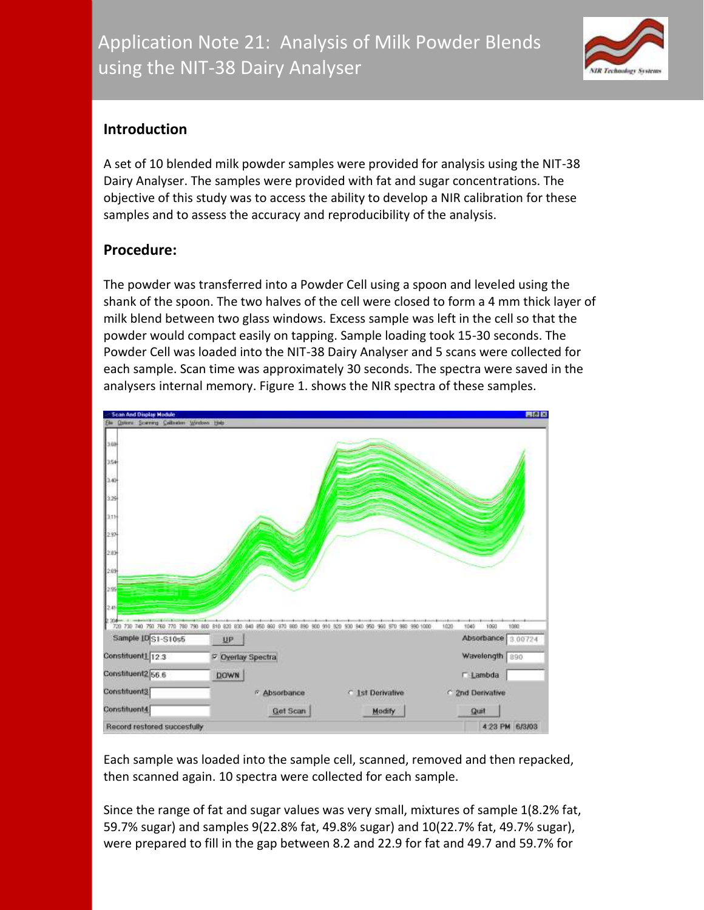

# **Introduction**

A set of 10 blended milk powder samples were provided for analysis using the NIT-38 Dairy Analyser. The samples were provided with fat and sugar concentrations. The objective of this study was to access the ability to develop a NIR calibration for these samples and to assess the accuracy and reproducibility of the analysis.

# **Procedure:**

The powder was transferred into a Powder Cell using a spoon and leveled using the shank of the spoon. The two halves of the cell were closed to form a 4 mm thick layer of milk blend between two glass windows. Excess sample was left in the cell so that the powder would compact easily on tapping. Sample loading took 15-30 seconds. The Powder Cell was loaded into the NIT-38 Dairy Analyser and 5 scans were collected for each sample. Scan time was approximately 30 seconds. The spectra were saved in the analysers internal memory. Figure 1. shows the NIR spectra of these samples.



Each sample was loaded into the sample cell, scanned, removed and then repacked, then scanned again. 10 spectra were collected for each sample.

Since the range of fat and sugar values was very small, mixtures of sample 1(8.2% fat, 59.7% sugar) and samples 9(22.8% fat, 49.8% sugar) and 10(22.7% fat, 49.7% sugar), were prepared to fill in the gap between 8.2 and 22.9 for fat and 49.7 and 59.7% for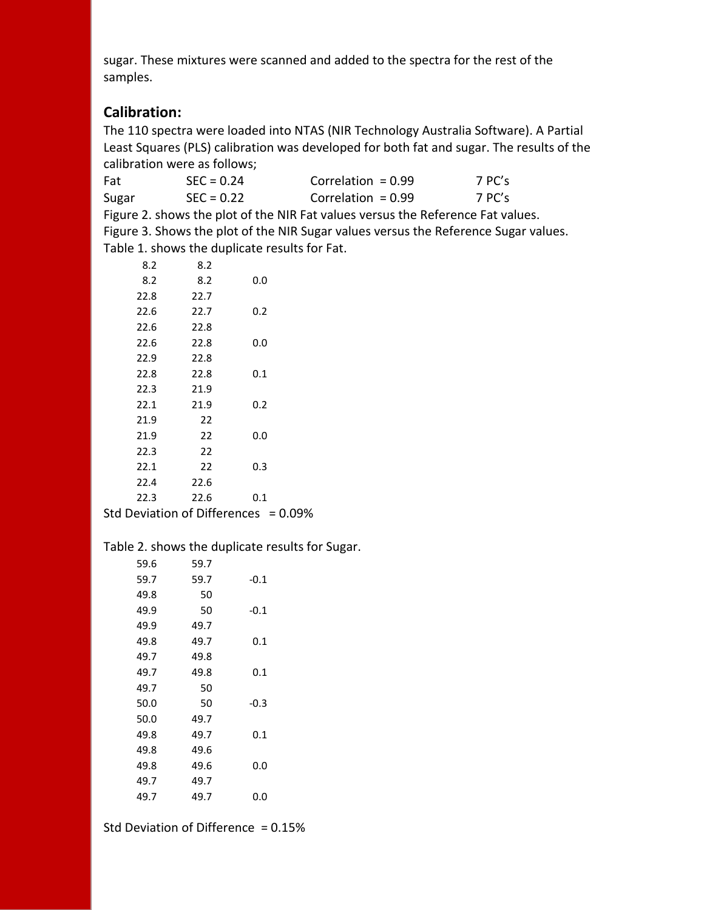sugar. These mixtures were scanned and added to the spectra for the rest of the samples.

# **Calibration:**

The 110 spectra were loaded into NTAS (NIR Technology Australia Software). A Partial Least Squares (PLS) calibration was developed for both fat and sugar. The results of the calibration were as follows;

| Fat   | $SFC = 0.24$ | Correlation = $0.99$                                                            | 7 PC's |
|-------|--------------|---------------------------------------------------------------------------------|--------|
| Sugar | $SFC = 0.22$ | Correlation = $0.99$                                                            | 7 PC's |
|       |              | Figure 2. shows the plot of the NIR Fat values versus the Reference Fat values. |        |

Figure 3. Shows the plot of the NIR Sugar values versus the Reference Sugar values. Table 1. shows the duplicate results for Fat.

| 8.2  | 8.2  |     |
|------|------|-----|
| 8.2  | 8.2  | 0.0 |
| 22.8 | 22.7 |     |
| 22.6 | 22.7 | 0.2 |
| 22.6 | 22.8 |     |
| 22.6 | 22.8 | 0.0 |
| 22.9 | 22.8 |     |
| 22.8 | 22.8 | 0.1 |
| 22.3 | 21.9 |     |
| 22.1 | 21.9 | 0.2 |
| 21.9 | 22   |     |
| 21.9 | 22   | 0.0 |
| 22.3 | 22   |     |
| 22.1 | 22   | 0.3 |
| 22.4 | 22.6 |     |
| 22.3 | 22.6 | 0.1 |

Std Deviation of Differences =  $0.09\%$ 

#### Table 2. shows the duplicate results for Sugar.

| 59.7 |        |
|------|--------|
| 59.7 | $-0.1$ |
| 50   |        |
| 50   | $-0.1$ |
| 49.7 |        |
| 49.7 | 0.1    |
| 49.8 |        |
| 49.8 | 0.1    |
| 50   |        |
| 50   | $-0.3$ |
| 49.7 |        |
| 49.7 | 0.1    |
| 49.6 |        |
| 49.6 | 0.0    |
| 49.7 |        |
| 49.7 | 0.0    |
|      |        |

Std Deviation of Difference = 0.15%